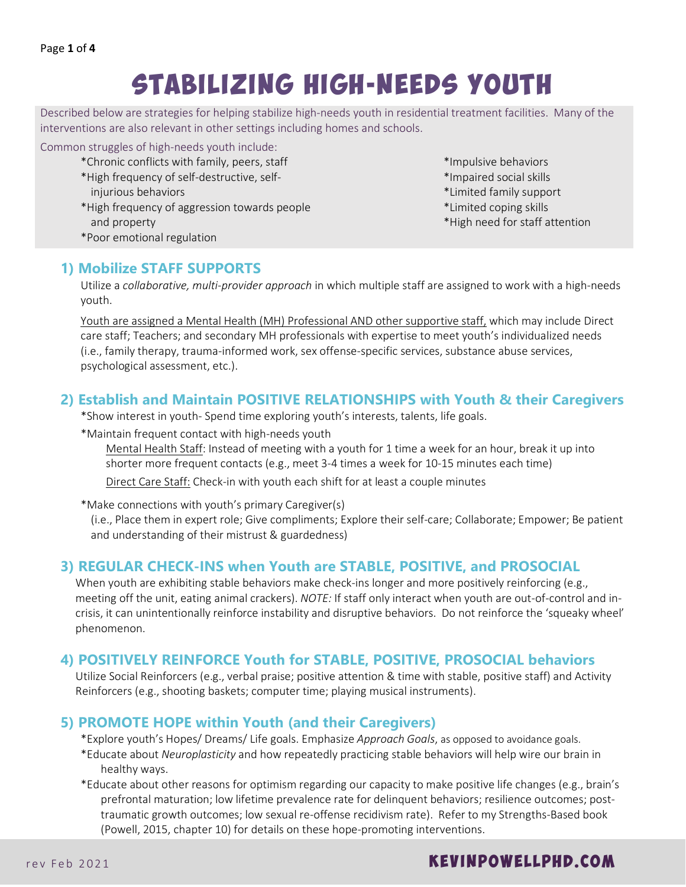# Stabilizing High-Needs Youth

Described below are strategies for helping stabilize high-needs youth in residential treatment facilities. Many of the interventions are also relevant in other settings including homes and schools.

#### Common struggles of high-needs youth include:

- \*Chronic conflicts with family, peers, staff
- \*High frequency of self-destructive, self-
- injurious behaviors
- \*High frequency of aggression towards people and property
- \*Poor emotional regulation
- \*Impulsive behaviors
- \*Impaired social skills
- \*Limited family support
- \*Limited coping skills
- \*High need for staff attention

#### **1) Mobilize STAFF SUPPORTS**

Utilize a *collaborative, multi-provider approach* in which multiple staff are assigned to work with a high-needs youth.

Youth are assigned a Mental Health (MH) Professional AND other supportive staff, which may include Direct care staff; Teachers; and secondary MH professionals with expertise to meet youth's individualized needs (i.e., family therapy, trauma-informed work, sex offense-specific services, substance abuse services, psychological assessment, etc.).

## **2) Establish and Maintain POSITIVE RELATIONSHIPS with Youth & their Caregivers**

\*Show interest in youth- Spend time exploring youth's interests, talents, life goals.

\*Maintain frequent contact with high-needs youth

Mental Health Staff: Instead of meeting with a youth for 1 time a week for an hour, break it up into shorter more frequent contacts (e.g., meet 3-4 times a week for 10-15 minutes each time) Direct Care Staff: Check-in with youth each shift for at least a couple minutes

\*Make connections with youth's primary Caregiver(s)

(i.e., Place them in expert role; Give compliments; Explore their self-care; Collaborate; Empower; Be patient and understanding of their mistrust & guardedness)

# **3) REGULAR CHECK-INS when Youth are STABLE, POSITIVE, and PROSOCIAL**

When youth are exhibiting stable behaviors make check-ins longer and more positively reinforcing (e.g., meeting off the unit, eating animal crackers). *NOTE:* If staff only interact when youth are out-of-control and incrisis, it can unintentionally reinforce instability and disruptive behaviors. Do not reinforce the 'squeaky wheel' phenomenon.

#### **4) POSITIVELY REINFORCE Youth for STABLE, POSITIVE, PROSOCIAL behaviors**

Utilize Social Reinforcers (e.g., verbal praise; positive attention & time with stable, positive staff) and Activity Reinforcers (e.g., shooting baskets; computer time; playing musical instruments).

#### **5) PROMOTE HOPE within Youth (and their Caregivers)**

\*Explore youth's Hopes/ Dreams/ Life goals. Emphasize *Approach Goals*, as opposed to avoidance goals.

- \*Educate about *Neuroplasticity* and how repeatedly practicing stable behaviors will help wire our brain in healthy ways.
- \*Educate about other reasons for optimism regarding our capacity to make positive life changes (e.g., brain's prefrontal maturation; low lifetime prevalence rate for delinquent behaviors; resilience outcomes; posttraumatic growth outcomes; low sexual re-offense recidivism rate). Refer to my Strengths-Based book (Powell, 2015, chapter 10) for details on these hope-promoting interventions.

# rev Feb 2021 **KEVINPOWELLPHD.COM**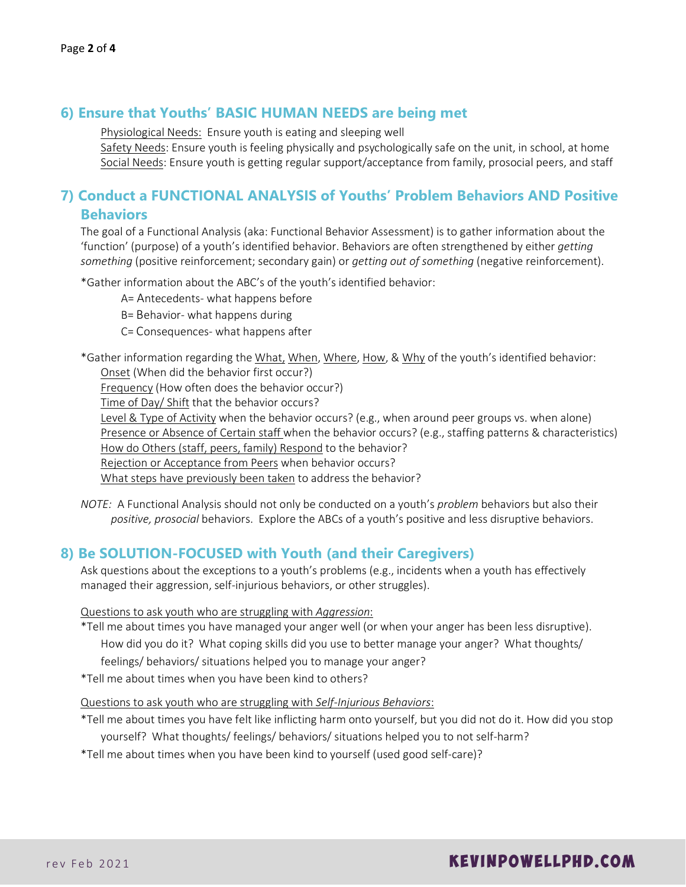#### **6) Ensure that Youths' BASIC HUMAN NEEDS are being met**

Physiological Needs: Ensure youth is eating and sleeping well

Safety Needs: Ensure youth is feeling physically and psychologically safe on the unit, in school, at home Social Needs: Ensure youth is getting regular support/acceptance from family, prosocial peers, and staff

## **7) Conduct a FUNCTIONAL ANALYSIS of Youths' Problem Behaviors AND Positive Behaviors**

The goal of a Functional Analysis (aka: Functional Behavior Assessment) is to gather information about the 'function' (purpose) of a youth's identified behavior. Behaviors are often strengthened by either *getting something* (positive reinforcement; secondary gain) or *getting out of something* (negative reinforcement).

\*Gather information about the ABC's of the youth's identified behavior:

- A= Antecedents- what happens before
- B= Behavior- what happens during
- C= Consequences- what happens after
- \*Gather information regarding the What, When, Where, How, & Why of the youth's identified behavior: Onset (When did the behavior first occur?)

Frequency (How often does the behavior occur?)

Time of Day/ Shift that the behavior occurs?

Level & Type of Activity when the behavior occurs? (e.g., when around peer groups vs. when alone) Presence or Absence of Certain staff when the behavior occurs? (e.g., staffing patterns & characteristics) How do Others (staff, peers, family) Respond to the behavior?

Rejection or Acceptance from Peers when behavior occurs?

What steps have previously been taken to address the behavior?

*NOTE:* A Functional Analysis should not only be conducted on a youth's *problem* behaviors but also their *positive, prosocial* behaviors. Explore the ABCs of a youth's positive and less disruptive behaviors.

#### **8) Be SOLUTION-FOCUSED with Youth (and their Caregivers)**

Ask questions about the exceptions to a youth's problems (e.g., incidents when a youth has effectively managed their aggression, self-injurious behaviors, or other struggles).

Questions to ask youth who are struggling with *Aggression*:

\*Tell me about times you have managed your anger well (or when your anger has been less disruptive). How did you do it? What coping skills did you use to better manage your anger? What thoughts/ feelings/ behaviors/ situations helped you to manage your anger?

\*Tell me about times when you have been kind to others?

Questions to ask youth who are struggling with *Self-Injurious Behaviors*:

- \*Tell me about times you have felt like inflicting harm onto yourself, but you did not do it. How did you stop yourself? What thoughts/ feelings/ behaviors/ situations helped you to not self-harm?
- \*Tell me about times when you have been kind to yourself (used good self-care)?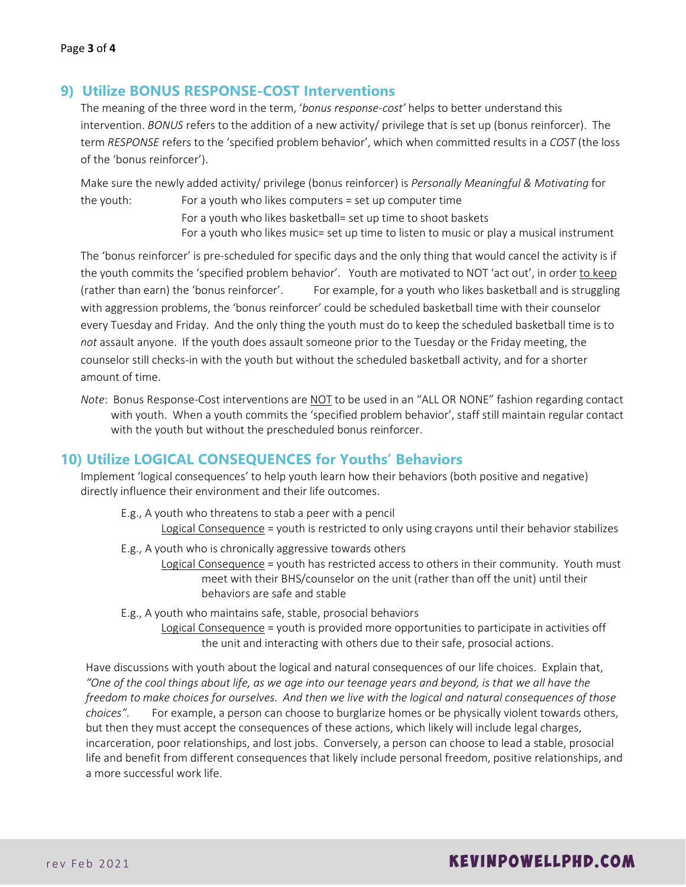#### **9) Utilize BONUS RESPONSE-COST Interventions**

The meaning of the three word in the term, '*bonus response-cost'* helps to better understand this intervention. *BONUS* refers to the addition of a new activity/ privilege that is set up (bonus reinforcer). The term *RESPONSE* refers to the 'specified problem behavior', which when committed results in a *COST* (the loss of the 'bonus reinforcer').

Make sure the newly added activity/ privilege (bonus reinforcer) is *Personally Meaningful & Motivating* for the youth: For a youth who likes computers = set up computer time

> For a youth who likes basketball= set up time to shoot baskets For a youth who likes music= set up time to listen to music or play a musical instrument

The 'bonus reinforcer' is pre-scheduled for specific days and the only thing that would cancel the activity is if the youth commits the 'specified problem behavior'. Youth are motivated to NOT 'act out', in order to keep (rather than earn) the 'bonus reinforcer'. For example, for a youth who likes basketball and is struggling with aggression problems, the 'bonus reinforcer' could be scheduled basketball time with their counselor every Tuesday and Friday. And the only thing the youth must do to keep the scheduled basketball time is to *not* assault anyone. If the youth does assault someone prior to the Tuesday or the Friday meeting, the counselor still checks-in with the youth but without the scheduled basketball activity, and for a shorter amount of time.

*Note*: Bonus Response-Cost interventions are NOT to be used in an "ALL OR NONE" fashion regarding contact with youth. When a youth commits the 'specified problem behavior', staff still maintain regular contact with the youth but without the prescheduled bonus reinforcer.

#### **10) Utilize LOGICAL CONSEQUENCES for Youths' Behaviors**

Implement 'logical consequences' to help youth learn how their behaviors (both positive and negative) directly influence their environment and their life outcomes.

- E.g., A youth who threatens to stab a peer with a pencil
	- Logical Consequence = youth is restricted to only using crayons until their behavior stabilizes
- E.g., A youth who is chronically aggressive towards others
	- Logical Consequence = youth has restricted access to others in their community. Youth must meet with their BHS/counselor on the unit (rather than off the unit) until their behaviors are safe and stable
- E.g., A youth who maintains safe, stable, prosocial behaviors

Logical Consequence = youth is provided more opportunities to participate in activities off the unit and interacting with others due to their safe, prosocial actions.

Have discussions with youth about the logical and natural consequences of our life choices. Explain that, *"One of the cool things about life, as we age into our teenage years and beyond, is that we all have the freedom to make choices for ourselves. And then we live with the logical and natural consequences of those choices".* For example, a person can choose to burglarize homes or be physically violent towards others, but then they must accept the consequences of these actions, which likely will include legal charges, incarceration, poor relationships, and lost jobs. Conversely, a person can choose to lead a stable, prosocial life and benefit from different consequences that likely include personal freedom, positive relationships, and a more successful work life.